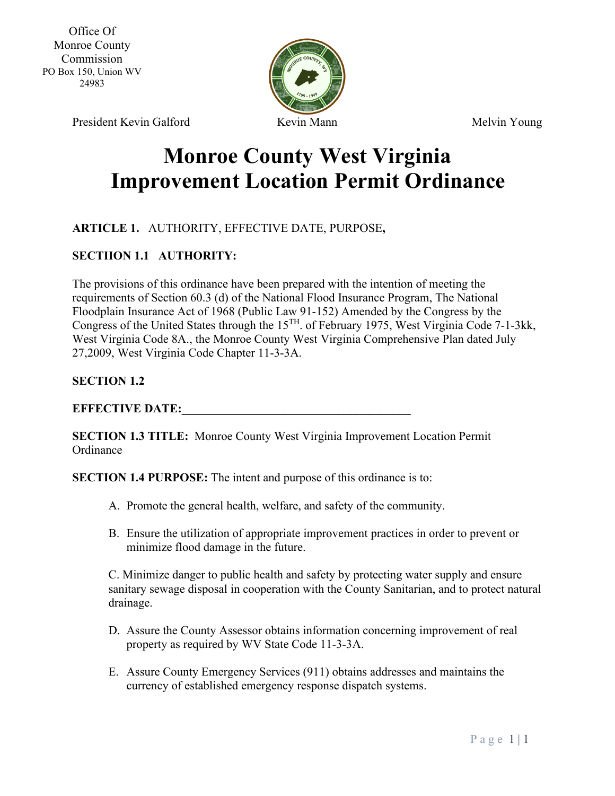

# **Monroe County West Virginia Improvement Location Permit Ordinance**

# **ARTICLE 1.** AUTHORITY, EFFECTIVE DATE, PURPOSE**,**

#### **SECTIION 1.1 AUTHORITY:**

The provisions of this ordinance have been prepared with the intention of meeting the requirements of Section 60.3 (d) of the National Flood Insurance Program, The National Floodplain Insurance Act of 1968 (Public Law 91-152) Amended by the Congress by the Congress of the United States through the 15TH. of February 1975, West Virginia Code 7-1-3kk, West Virginia Code 8A., the Monroe County West Virginia Comprehensive Plan dated July 27,2009, West Virginia Code Chapter 11-3-3A.

#### **SECTION 1.2**

#### **EFFECTIVE DATE:**

**SECTION 1.3 TITLE:** Monroe County West Virginia Improvement Location Permit **Ordinance** 

**SECTION 1.4 PURPOSE:** The intent and purpose of this ordinance is to:

- A. Promote the general health, welfare, and safety of the community.
- B. Ensure the utilization of appropriate improvement practices in order to prevent or minimize flood damage in the future.

C. Minimize danger to public health and safety by protecting water supply and ensure sanitary sewage disposal in cooperation with the County Sanitarian, and to protect natural drainage.

- D. Assure the County Assessor obtains information concerning improvement of real property as required by WV State Code 11-3-3A.
- E. Assure County Emergency Services (911) obtains addresses and maintains the currency of established emergency response dispatch systems.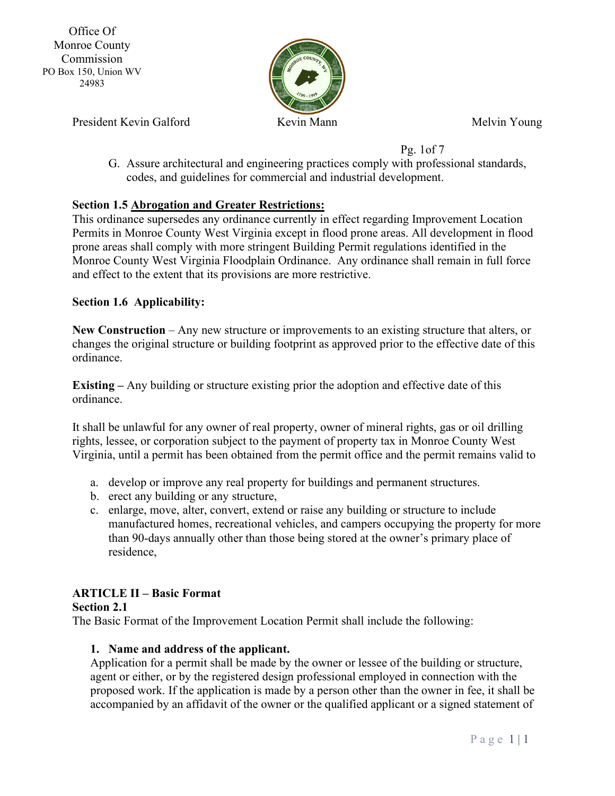

President Kevin Galford Kevin Mann Kevin Mann Melvin Young

Pg. 1of 7

G. Assure architectural and engineering practices comply with professional standards, codes, and guidelines for commercial and industrial development.

# **Section 1.5 Abrogation and Greater Restrictions:**

This ordinance supersedes any ordinance currently in effect regarding Improvement Location Permits in Monroe County West Virginia except in flood prone areas. All development in flood prone areas shall comply with more stringent Building Permit regulations identified in the Monroe County West Virginia Floodplain Ordinance. Any ordinance shall remain in full force and effect to the extent that its provisions are more restrictive.

#### **Section 1.6 Applicability:**

**New Construction** – Any new structure or improvements to an existing structure that alters, or changes the original structure or building footprint as approved prior to the effective date of this ordinance.

**Existing –** Any building or structure existing prior the adoption and effective date of this ordinance.

It shall be unlawful for any owner of real property, owner of mineral rights, gas or oil drilling rights, lessee, or corporation subject to the payment of property tax in Monroe County West Virginia, until a permit has been obtained from the permit office and the permit remains valid to

- a. develop or improve any real property for buildings and permanent structures.
- b. erect any building or any structure,
- c. enlarge, move, alter, convert, extend or raise any building or structure to include manufactured homes, recreational vehicles, and campers occupying the property for more than 90-days annually other than those being stored at the owner's primary place of residence,

# **ARTICLE II – Basic Format**

# **Section 2.1**

The Basic Format of the Improvement Location Permit shall include the following:

# **1. Name and address of the applicant.**

Application for a permit shall be made by the owner or lessee of the building or structure, agent or either, or by the registered design professional employed in connection with the proposed work. If the application is made by a person other than the owner in fee, it shall be accompanied by an affidavit of the owner or the qualified applicant or a signed statement of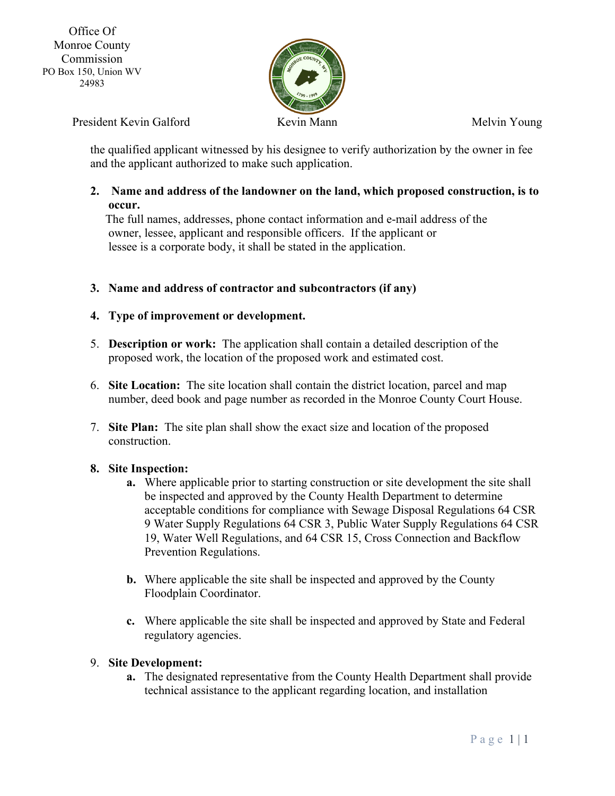

President Kevin Galford Kevin Mann Kevin Mann Melvin Young

the qualified applicant witnessed by his designee to verify authorization by the owner in fee and the applicant authorized to make such application.

#### **2. Name and address of the landowner on the land, which proposed construction, is to occur.**

 The full names, addresses, phone contact information and e-mail address of the owner, lessee, applicant and responsible officers. If the applicant or lessee is a corporate body, it shall be stated in the application.

**3. Name and address of contractor and subcontractors (if any)**

#### **4. Type of improvement or development.**

- 5. **Description or work:** The application shall contain a detailed description of the proposed work, the location of the proposed work and estimated cost.
- 6. **Site Location:** The site location shall contain the district location, parcel and map number, deed book and page number as recorded in the Monroe County Court House.
- 7. **Site Plan:** The site plan shall show the exact size and location of the proposed construction.

#### **8. Site Inspection:**

- **a.** Where applicable prior to starting construction or site development the site shall be inspected and approved by the County Health Department to determine acceptable conditions for compliance with Sewage Disposal Regulations 64 CSR 9 Water Supply Regulations 64 CSR 3, Public Water Supply Regulations 64 CSR 19, Water Well Regulations, and 64 CSR 15, Cross Connection and Backflow Prevention Regulations.
- **b.** Where applicable the site shall be inspected and approved by the County Floodplain Coordinator.
- **c.** Where applicable the site shall be inspected and approved by State and Federal regulatory agencies.

#### 9. **Site Development:**

**a.** The designated representative from the County Health Department shall provide technical assistance to the applicant regarding location, and installation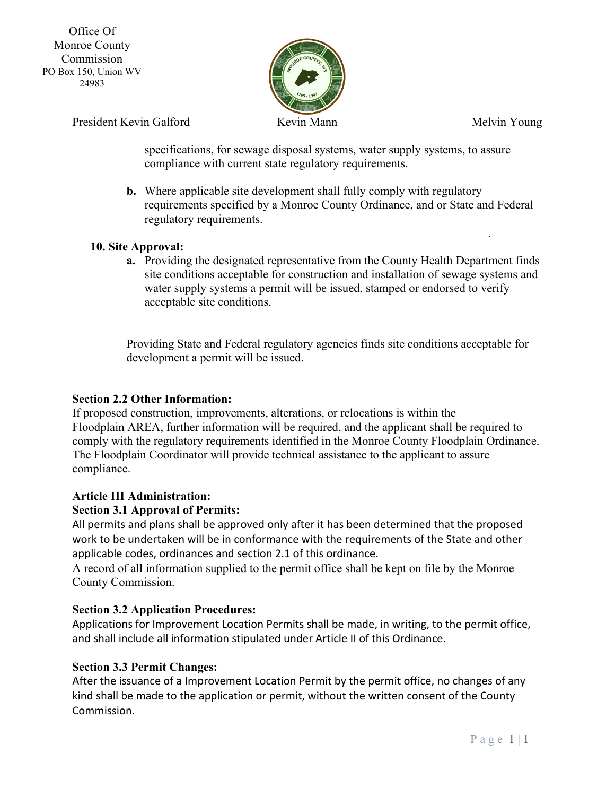

.

President Kevin Galford Kevin Mann Kevin Mann Melvin Young

specifications, for sewage disposal systems, water supply systems, to assure compliance with current state regulatory requirements.

**b.** Where applicable site development shall fully comply with regulatory requirements specified by a Monroe County Ordinance, and or State and Federal regulatory requirements.

# **10. Site Approval:**

**a.** Providing the designated representative from the County Health Department finds site conditions acceptable for construction and installation of sewage systems and water supply systems a permit will be issued, stamped or endorsed to verify acceptable site conditions.

Providing State and Federal regulatory agencies finds site conditions acceptable for development a permit will be issued.

# **Section 2.2 Other Information:**

If proposed construction, improvements, alterations, or relocations is within the Floodplain AREA, further information will be required, and the applicant shall be required to comply with the regulatory requirements identified in the Monroe County Floodplain Ordinance. The Floodplain Coordinator will provide technical assistance to the applicant to assure compliance.

# **Article III Administration:**

# **Section 3.1 Approval of Permits:**

All permits and plans shall be approved only after it has been determined that the proposed work to be undertaken will be in conformance with the requirements of the State and other applicable codes, ordinances and section 2.1 of this ordinance.

A record of all information supplied to the permit office shall be kept on file by the Monroe County Commission.

# **Section 3.2 Application Procedures:**

Applications for Improvement Location Permits shall be made, in writing, to the permit office, and shall include all information stipulated under Article II of this Ordinance.

# **Section 3.3 Permit Changes:**

After the issuance of a Improvement Location Permit by the permit office, no changes of any kind shall be made to the application or permit, without the written consent of the County Commission.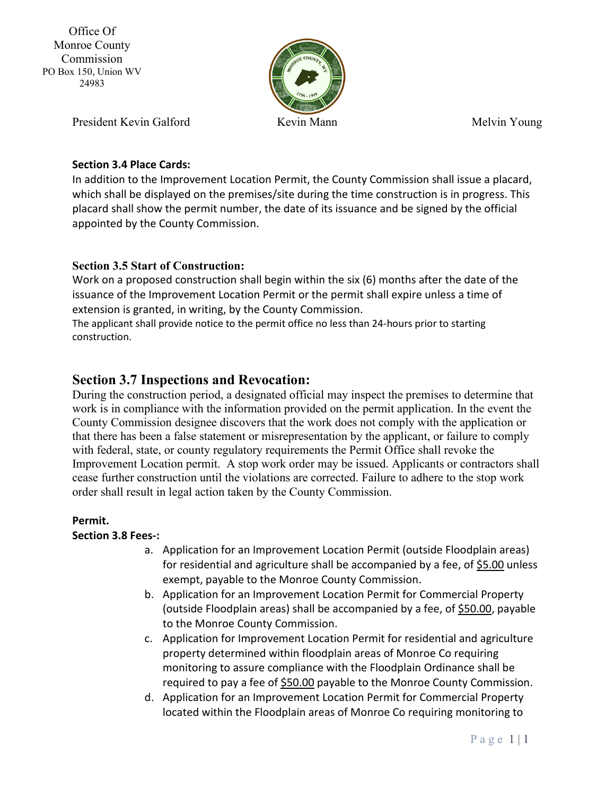

President Kevin Galford Kevin Mann Kevin Mann Melvin Young

### **Section 3.4 Place Cards:**

In addition to the Improvement Location Permit, the County Commission shall issue a placard, which shall be displayed on the premises/site during the time construction is in progress. This placard shall show the permit number, the date of its issuance and be signed by the official appointed by the County Commission.

#### **Section 3.5 Start of Construction:**

Work on a proposed construction shall begin within the six (6) months after the date of the issuance of the Improvement Location Permit or the permit shall expire unless a time of extension is granted, in writing, by the County Commission.

The applicant shall provide notice to the permit office no less than 24-hours prior to starting construction.

# **Section 3.7 Inspections and Revocation:**

During the construction period, a designated official may inspect the premises to determine that work is in compliance with the information provided on the permit application. In the event the County Commission designee discovers that the work does not comply with the application or that there has been a false statement or misrepresentation by the applicant, or failure to comply with federal, state, or county regulatory requirements the Permit Office shall revoke the Improvement Location permit. A stop work order may be issued. Applicants or contractors shall cease further construction until the violations are corrected. Failure to adhere to the stop work order shall result in legal action taken by the County Commission.

#### **Permit.**

#### **Section 3.8 Fees-:**

- a. Application for an Improvement Location Permit (outside Floodplain areas) for residential and agriculture shall be accompanied by a fee, of \$5.00 unless exempt, payable to the Monroe County Commission.
- b. Application for an Improvement Location Permit for Commercial Property (outside Floodplain areas) shall be accompanied by a fee, of \$50.00, payable to the Monroe County Commission.
- c. Application for Improvement Location Permit for residential and agriculture property determined within floodplain areas of Monroe Co requiring monitoring to assure compliance with the Floodplain Ordinance shall be required to pay a fee of \$50.00 payable to the Monroe County Commission.
- d. Application for an Improvement Location Permit for Commercial Property located within the Floodplain areas of Monroe Co requiring monitoring to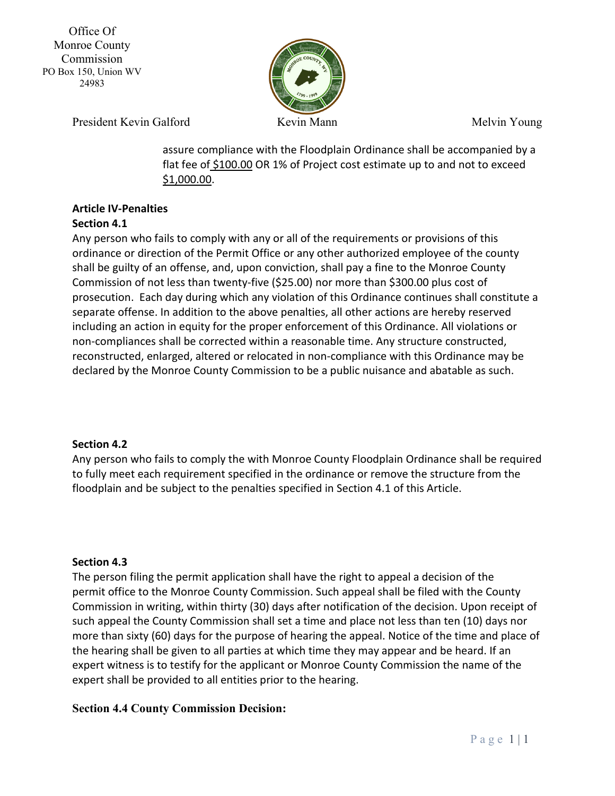

President Kevin Galford Kevin Mann Kevin Mann Melvin Young

assure compliance with the Floodplain Ordinance shall be accompanied by a flat fee of \$100.00 OR 1% of Project cost estimate up to and not to exceed \$1,000.00.

# **Article IV-Penalties**

# **Section 4.1**

Any person who fails to comply with any or all of the requirements or provisions of this ordinance or direction of the Permit Office or any other authorized employee of the county shall be guilty of an offense, and, upon conviction, shall pay a fine to the Monroe County Commission of not less than twenty-five (\$25.00) nor more than \$300.00 plus cost of prosecution. Each day during which any violation of this Ordinance continues shall constitute a separate offense. In addition to the above penalties, all other actions are hereby reserved including an action in equity for the proper enforcement of this Ordinance. All violations or non-compliances shall be corrected within a reasonable time. Any structure constructed, reconstructed, enlarged, altered or relocated in non-compliance with this Ordinance may be declared by the Monroe County Commission to be a public nuisance and abatable as such.

#### **Section 4.2**

Any person who fails to comply the with Monroe County Floodplain Ordinance shall be required to fully meet each requirement specified in the ordinance or remove the structure from the floodplain and be subject to the penalties specified in Section 4.1 of this Article.

#### **Section 4.3**

The person filing the permit application shall have the right to appeal a decision of the permit office to the Monroe County Commission. Such appeal shall be filed with the County Commission in writing, within thirty (30) days after notification of the decision. Upon receipt of such appeal the County Commission shall set a time and place not less than ten (10) days nor more than sixty (60) days for the purpose of hearing the appeal. Notice of the time and place of the hearing shall be given to all parties at which time they may appear and be heard. If an expert witness is to testify for the applicant or Monroe County Commission the name of the expert shall be provided to all entities prior to the hearing.

#### **Section 4.4 County Commission Decision:**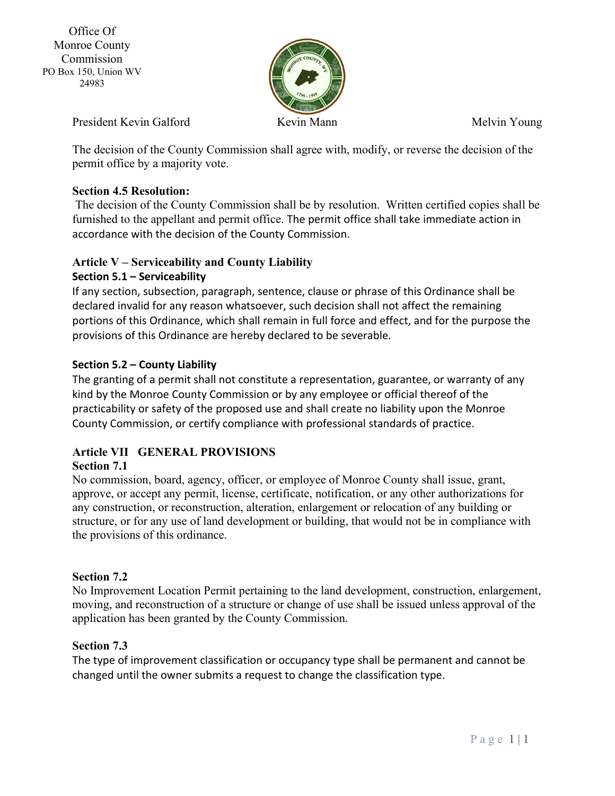

President Kevin Galford Kevin Mann Kevin Mann Melvin Young

The decision of the County Commission shall agree with, modify, or reverse the decision of the permit office by a majority vote.

# **Section 4.5 Resolution:**

The decision of the County Commission shall be by resolution. Written certified copies shall be furnished to the appellant and permit office. The permit office shall take immediate action in accordance with the decision of the County Commission.

# **Article V – Serviceability and County Liability**

# **Section 5.1 – Serviceability**

If any section, subsection, paragraph, sentence, clause or phrase of this Ordinance shall be declared invalid for any reason whatsoever, such decision shall not affect the remaining portions of this Ordinance, which shall remain in full force and effect, and for the purpose the provisions of this Ordinance are hereby declared to be severable.

# **Section 5.2 – County Liability**

The granting of a permit shall not constitute a representation, guarantee, or warranty of any kind by the Monroe County Commission or by any employee or official thereof of the practicability or safety of the proposed use and shall create no liability upon the Monroe County Commission, or certify compliance with professional standards of practice.

# **Article VII GENERAL PROVISIONS**

# **Section 7.1**

No commission, board, agency, officer, or employee of Monroe County shall issue, grant, approve, or accept any permit, license, certificate, notification, or any other authorizations for any construction, or reconstruction, alteration, enlargement or relocation of any building or structure, or for any use of land development or building, that would not be in compliance with the provisions of this ordinance.

# **Section 7.2**

No Improvement Location Permit pertaining to the land development, construction, enlargement, moving, and reconstruction of a structure or change of use shall be issued unless approval of the application has been granted by the County Commission.

# **Section 7.3**

The type of improvement classification or occupancy type shall be permanent and cannot be changed until the owner submits a request to change the classification type.